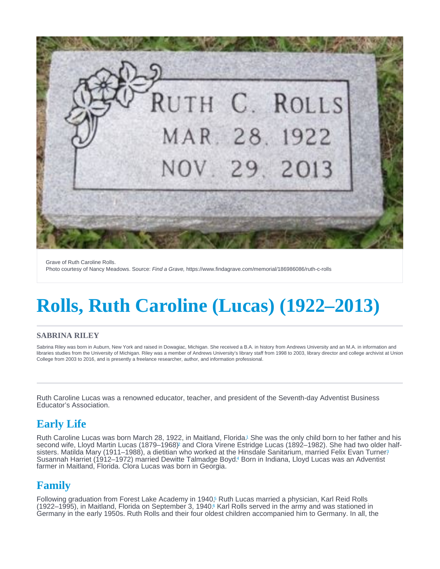<span id="page-0-0"></span>Grave of Ruth Caroline Rolls. Photo courtesy of Nancy Meadows. Source: Find a Grave, https://www.findagrave.com/memorial/186986086/ruth-c-rolls

# Rolls, Ruth Caroline (Lucas) (1922–2013)

#### SABRINA RILEY

Sabrina Riley was born in Auburn, New York and raised in Dowagiac, Michigan. She received a B.A. in history from Andrews University and an M.A. in information and libraries studies from the University of Michigan. Riley was a member of Andrews University's library staff from 1998 to 2003, library director and college archivist at Union College from 2003 to 2016, and is presently a freelance researcher, author, and information professional.

Ruth Caroline Lucas was a renowned educator, teacher, and president of the Seventh-day Adventist Business Educator's Association.

## Early Life

Ruth Caroline Lucas was born March 28, 1922, in Maitland, Florida.<sup>1</sup> She was the only child born to her father and his second wife, Lloyd Martin Lucas (1879–1968[\)](#page-2-0) and Clora Virene Estridge Lucas (1892–1982). She had two older half-sisters[.](#page-2-0) Matilda Mary (1911–1988), a dietitian who worked at the Hinsdale Sanitarium, married Felix Evan Turner? Susannah Harriet (1912–1972) married Dewitte Talmadge Boyd.<sup>4</sup> Born in Indiana, Lloyd Lucas was an Adventist farmer in Maitland, Florida. Clora Lucas was born in Georgia.

## Family

Following graduation from Forest Lake Academy in 1940[,](#page-2-0)<sup>5</sup> Ruth Lucas married a physician, Karl Reid Rolls (1922–1995), in Maitland, Florida on September 3, 1940[.](#page-2-0)6 Karl Rolls served in the army and was stationed in Germany in the early 1950s. Ruth Rolls and their four oldest children accompanied him to Germany. In all, the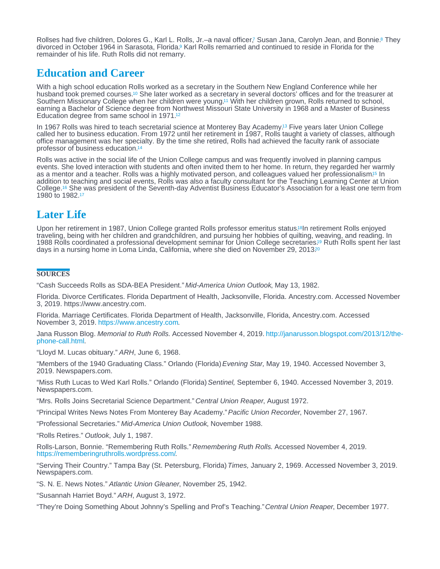<span id="page-1-0"></span>Rollses had five children[,](#page-2-0) Dolores G., Karl L[.](#page-2-0) Rolls, Jr.–a naval officer,7 Susan Jana, Carolyn Jean, and Bonnie.<sup>8</sup> They divorced in October 1964 in Sarasota, Florida[.](#page-2-0)<sup>9</sup> Karl Rolls remarried and continued to reside in Florida for the remainder of his life. Ruth Rolls did not remarry.

#### Education and Career

With a high school education Rolls worked as a secretary in the Southern New England Conference while her husband took premed courses.<sup>10</sup> She later worked as a secretary in several doctors' offices and for the treasurer at Southern Missionary College when her children were young.<sup>11</sup> With her children grown, Rolls returned to school, earning a Bachelor of Science degree from Northwest Missouri State University in 1968 and a Master of Business Education degree from same school in 1971. [12](#page-2-0)

In 1967 Rolls was hired to teach secretarial science at Monterey Bay Academy.<sup>13</sup> Five years later Union College called her to business education. From 1972 until her retirement in 1987, Rolls taught a variety of classes, although office management was her specialty. By the time she retired, Rolls had achieved the faculty rank of associate professor of business education. [14](#page-2-0)

Rolls was active in the social life of the Union College campus and was frequently involved in planning campus events. She loved interaction with students and often invited them to her home. In return, they regarded her warmly as a mentor and a teacher[.](#page-2-0) Rolls was a highly motivated person, and colleagues valued her professionalism<sup>15</sup> In addition to teaching and social events, Rolls was also a faculty consultant for the Teaching Learning Center at Union College.<sup>16</sup> She was president of the Seventh-day Adventist Business Educator's Association for a least one term from 1980 to 1982. [17](#page-2-0)

## Later Life

Upon her retirement in 1987, Union College granted Rolls professor emeritus status.<sup>[18](#page-2-0)</sup>In retirement Rolls enjoyed traveling, being with her children and grandchildren, and pursuing her hobbies of quilting, weaving, and reading. In 1988 Rolls coordinated a professional development seminar for Union College secretaries.<sup>19</sup> Ruth Rolls spent her last days in a nursing home in Loma Linda, California, where she died on November 29, 2013. [20](#page-2-0)

#### **SOURCES**

"Cash Succeeds Rolls as SDA-BEA President." Mid-America Union Outlook, May 13, 1982.

Florida. Divorce Certificates. Florida Department of Health, Jacksonville, Florida. Ancestry.com. Accessed November 3, 2019. https://www.ancestry.com.

Florida. Marriage Certificates. Florida Department of Health, Jacksonville, Florida, Ancestry.com. Accessed November 3, 2019. [https://www.ancestry.com.](https://www.ancestry.com)

Jana Russon Blog. Memorial to Ruth Rolls. Accessed November 4, 2019. [http://janarusson.blogspot.com/2013/12/the-](http://janarusson.blogspot.com/2013/12/the-phone-call.html). [phone-call.html](http://janarusson.blogspot.com/2013/12/the-phone-call.html)

"Lloyd M. Lucas obituary." ARH, June 6, 1968.

"Members of the 1940 Graduating Class." Orlando (Florida) Evening Star, May 19, 1940. Accessed November 3, 2019. Newspapers.com.

"Miss Ruth Lucas to Wed Karl Rolls." Orlando (Florida) Sentinel, September 6, 1940. Accessed November 3, 2019. Newspapers.com.

"Mrs. Rolls Joins Secretarial Science Department." Central Union Reaper, August 1972.

"Principal Writes News Notes From Monterey Bay Academy." Pacific Union Recorder, November 27, 1967.

"Professional Secretaries." Mid-America Union Outlook, November 1988.

"Rolls Retires." Outlook, July 1, 1987.

Rolls-Larson, Bonnie. "Remembering Ruth Rolls." Remembering Ruth Rolls. Accessed November 4, 2019. [https://rememberingruthrolls.wordpress.com/.](https://rememberingruthrolls.wordpress.com/)

"Serving Their Country." Tampa Bay (St. Petersburg, Florida) Times, January 2, 1969. Accessed November 3, 2019. Newspapers.com.

"S. N. E. News Notes." Atlantic Union Gleaner, November 25, 1942.

"Susannah Harriet Boyd." ARH, August 3, 1972.

"They're Doing Something About Johnny's Spelling and Prof's Teaching." Central Union Reaper, December 1977.